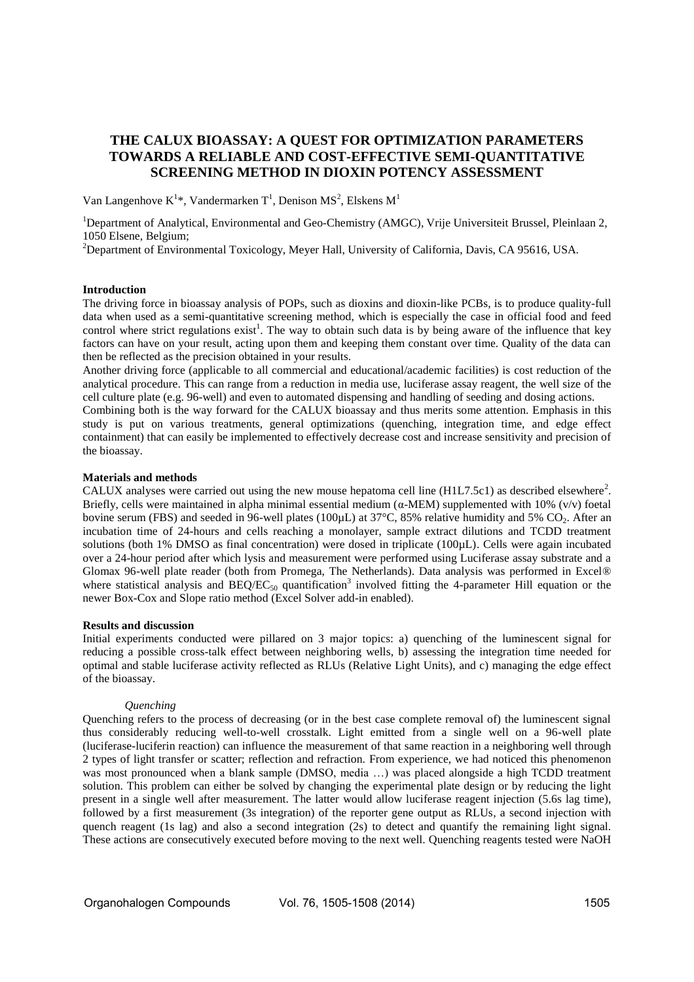# **THE CALUX BIOASSAY: A QUEST FOR OPTIMIZATION PARAMETERS TOWARDS A RELIABLE AND COST-EFFECTIVE SEMI-QUANTITATIVE SCREENING METHOD IN DIOXIN POTENCY ASSESSMENT**

Van Langenhove  $K^{1*}$ , Vandermarken  $T^1$ , Denison MS<sup>2</sup>, Elskens M<sup>1</sup>

<sup>1</sup>Department of Analytical, Environmental and Geo-Chemistry (AMGC), Vrije Universiteit Brussel, Pleinlaan 2, 1050 Elsene, Belgium;

<sup>2</sup>Department of Environmental Toxicology, Meyer Hall, University of California, Davis, CA 95616, USA.

## **Introduction**

The driving force in bioassay analysis of POPs, such as dioxins and dioxin-like PCBs, is to produce quality-full data when used as a semi-quantitative screening method, which is especially the case in official food and feed control where strict regulations exist<sup>1</sup>. The way to obtain such data is by being aware of the influence that key factors can have on your result, acting upon them and keeping them constant over time. Quality of the data can then be reflected as the precision obtained in your results.

Another driving force (applicable to all commercial and educational/academic facilities) is cost reduction of the analytical procedure. This can range from a reduction in media use, luciferase assay reagent, the well size of the cell culture plate (e.g. 96-well) and even to automated dispensing and handling of seeding and dosing actions.

Combining both is the way forward for the CALUX bioassay and thus merits some attention. Emphasis in this study is put on various treatments, general optimizations (quenching, integration time, and edge effect containment) that can easily be implemented to effectively decrease cost and increase sensitivity and precision of the bioassay.

# **Materials and methods**

CALUX analyses were carried out using the new mouse hepatoma cell line  $(H1L7.5c1)$  as described elsewhere<sup>2</sup>. Briefly, cells were maintained in alpha minimal essential medium (α-MEM) supplemented with 10% (v/v) foetal bovine serum (FBS) and seeded in 96-well plates (100µL) at 37°C, 85% relative humidity and 5% CO<sub>2</sub>. After an incubation time of 24-hours and cells reaching a monolayer, sample extract dilutions and TCDD treatment solutions (both 1% DMSO as final concentration) were dosed in triplicate (100µL). Cells were again incubated over a 24-hour period after which lysis and measurement were performed using Luciferase assay substrate and a Glomax 96-well plate reader (both from Promega, The Netherlands). Data analysis was performed in Excel® where statistical analysis and  $BEQ/EC_{50}$  quantification<sup>3</sup> involved fitting the 4-parameter Hill equation or the newer Box-Cox and Slope ratio method (Excel Solver add-in enabled).

# **Results and discussion**

Initial experiments conducted were pillared on 3 major topics: a) quenching of the luminescent signal for reducing a possible cross-talk effect between neighboring wells, b) assessing the integration time needed for optimal and stable luciferase activity reflected as RLUs (Relative Light Units), and c) managing the edge effect of the bioassay.

#### *Quenching*

Quenching refers to the process of decreasing (or in the best case complete removal of) the luminescent signal thus considerably reducing well-to-well crosstalk. Light emitted from a single well on a 96-well plate (luciferase-luciferin reaction) can influence the measurement of that same reaction in a neighboring well through 2 types of light transfer or scatter; reflection and refraction. From experience, we had noticed this phenomenon was most pronounced when a blank sample (DMSO, media …) was placed alongside a high TCDD treatment solution. This problem can either be solved by changing the experimental plate design or by reducing the light present in a single well after measurement. The latter would allow luciferase reagent injection (5.6s lag time), followed by a first measurement (3s integration) of the reporter gene output as RLUs, a second injection with quench reagent (1s lag) and also a second integration (2s) to detect and quantify the remaining light signal. These actions are consecutively executed before moving to the next well. Quenching reagents tested were NaOH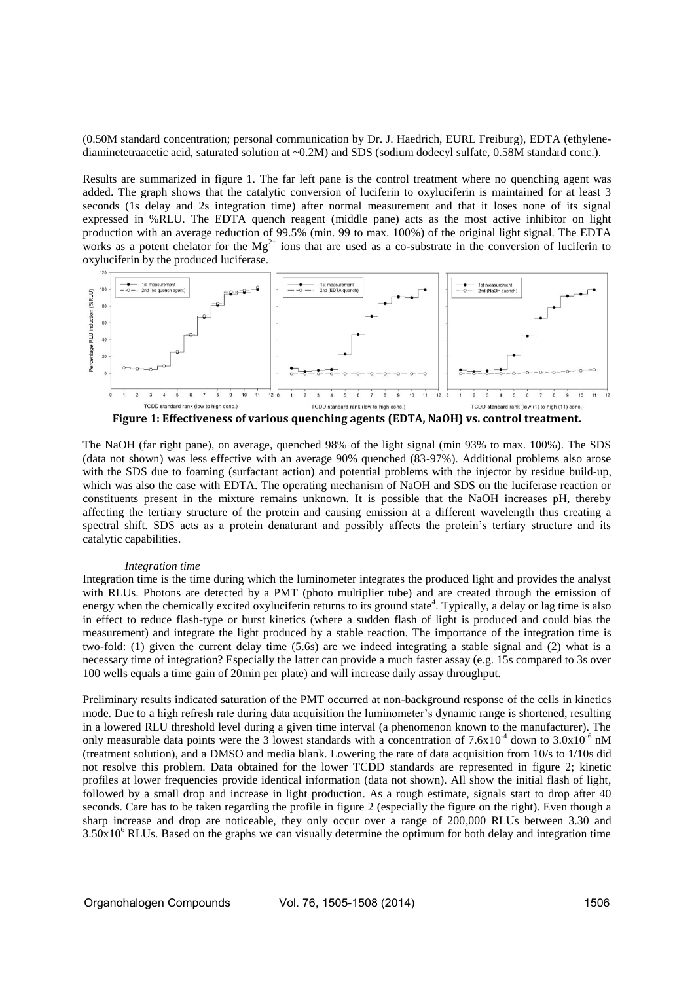(0.50M standard concentration; personal communication by Dr. J. Haedrich, EURL Freiburg), EDTA (ethylenediaminetetraacetic acid, saturated solution at ~0.2M) and SDS (sodium dodecyl sulfate, 0.58M standard conc.).

Results are summarized in figure 1. The far left pane is the control treatment where no quenching agent was added. The graph shows that the catalytic conversion of luciferin to oxyluciferin is maintained for at least 3 seconds (1s delay and 2s integration time) after normal measurement and that it loses none of its signal expressed in %RLU. The EDTA quench reagent (middle pane) acts as the most active inhibitor on light production with an average reduction of 99.5% (min. 99 to max. 100%) of the original light signal. The EDTA works as a potent chelator for the  $Mg^{2+}$  ions that are used as a co-substrate in the conversion of luciferin to oxyluciferin by the produced luciferase.



The NaOH (far right pane), on average, quenched 98% of the light signal (min 93% to max. 100%). The SDS (data not shown) was less effective with an average 90% quenched (83-97%). Additional problems also arose with the SDS due to foaming (surfactant action) and potential problems with the injector by residue build-up, which was also the case with EDTA. The operating mechanism of NaOH and SDS on the luciferase reaction or constituents present in the mixture remains unknown. It is possible that the NaOH increases pH, thereby affecting the tertiary structure of the protein and causing emission at a different wavelength thus creating a spectral shift. SDS acts as a protein denaturant and possibly affects the protein's tertiary structure and its catalytic capabilities.

#### *Integration time*

Integration time is the time during which the luminometer integrates the produced light and provides the analyst with RLUs. Photons are detected by a PMT (photo multiplier tube) and are created through the emission of energy when the chemically excited oxyluciferin returns to its ground state<sup>4</sup>. Typically, a delay or lag time is also in effect to reduce flash-type or burst kinetics (where a sudden flash of light is produced and could bias the measurement) and integrate the light produced by a stable reaction. The importance of the integration time is two-fold: (1) given the current delay time (5.6s) are we indeed integrating a stable signal and (2) what is a necessary time of integration? Especially the latter can provide a much faster assay (e.g. 15s compared to 3s over 100 wells equals a time gain of 20min per plate) and will increase daily assay throughput.

Preliminary results indicated saturation of the PMT occurred at non-background response of the cells in kinetics mode. Due to a high refresh rate during data acquisition the luminometer's dynamic range is shortened, resulting in a lowered RLU threshold level during a given time interval (a phenomenon known to the manufacturer). The only measurable data points were the 3 lowest standards with a concentration of  $7.6x10^{-4}$  down to  $3.0x10^{-6}$  nM (treatment solution), and a DMSO and media blank. Lowering the rate of data acquisition from 10/s to 1/10s did not resolve this problem. Data obtained for the lower TCDD standards are represented in figure 2; kinetic profiles at lower frequencies provide identical information (data not shown). All show the initial flash of light, followed by a small drop and increase in light production. As a rough estimate, signals start to drop after 40 seconds. Care has to be taken regarding the profile in figure 2 (especially the figure on the right). Even though a sharp increase and drop are noticeable, they only occur over a range of 200,000 RLUs between 3.30 and  $3.50x10<sup>6</sup>$  RLUs. Based on the graphs we can visually determine the optimum for both delay and integration time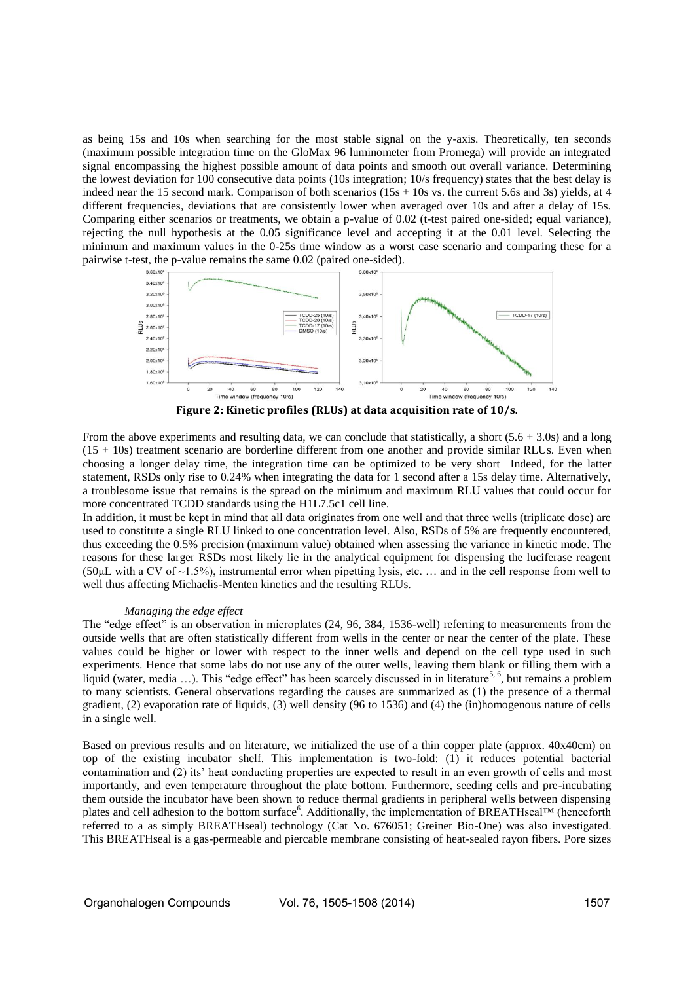as being 15s and 10s when searching for the most stable signal on the y-axis. Theoretically, ten seconds (maximum possible integration time on the GloMax 96 luminometer from Promega) will provide an integrated signal encompassing the highest possible amount of data points and smooth out overall variance. Determining the lowest deviation for 100 consecutive data points (10s integration; 10/s frequency) states that the best delay is indeed near the 15 second mark. Comparison of both scenarios  $(15s + 10s$  vs. the current 5.6s and 3s) yields, at 4 different frequencies, deviations that are consistently lower when averaged over 10s and after a delay of 15s. Comparing either scenarios or treatments, we obtain a p-value of 0.02 (t-test paired one-sided; equal variance), rejecting the null hypothesis at the 0.05 significance level and accepting it at the 0.01 level. Selecting the minimum and maximum values in the 0-25s time window as a worst case scenario and comparing these for a pairwise t-test, the p-value remains the same 0.02 (paired one-sided).



**Figure 2: Kinetic profiles (RLUs) at data acquisition rate of 10/s.** 

From the above experiments and resulting data, we can conclude that statistically, a short  $(5.6 + 3.0s)$  and a long (15 + 10s) treatment scenario are borderline different from one another and provide similar RLUs. Even when choosing a longer delay time, the integration time can be optimized to be very short Indeed, for the latter statement, RSDs only rise to 0.24% when integrating the data for 1 second after a 15s delay time. Alternatively, a troublesome issue that remains is the spread on the minimum and maximum RLU values that could occur for more concentrated TCDD standards using the H1L7.5c1 cell line.

In addition, it must be kept in mind that all data originates from one well and that three wells (triplicate dose) are used to constitute a single RLU linked to one concentration level. Also, RSDs of 5% are frequently encountered, thus exceeding the 0.5% precision (maximum value) obtained when assessing the variance in kinetic mode. The reasons for these larger RSDs most likely lie in the analytical equipment for dispensing the luciferase reagent (50 $\mu$ L with a CV of ~1.5%), instrumental error when pipetting lysis, etc. ... and in the cell response from well to well thus affecting Michaelis-Menten kinetics and the resulting RLUs.

# *Managing the edge effect*

The "edge effect" is an observation in microplates (24, 96, 384, 1536-well) referring to measurements from the outside wells that are often statistically different from wells in the center or near the center of the plate. These values could be higher or lower with respect to the inner wells and depend on the cell type used in such experiments. Hence that some labs do not use any of the outer wells, leaving them blank or filling them with a liquid (water, media ...). This "edge effect" has been scarcely discussed in in literature<sup>5, 6</sup>, but remains a problem to many scientists. General observations regarding the causes are summarized as (1) the presence of a thermal gradient, (2) evaporation rate of liquids, (3) well density (96 to 1536) and (4) the (in)homogenous nature of cells in a single well.

Based on previous results and on literature, we initialized the use of a thin copper plate (approx. 40x40cm) on top of the existing incubator shelf. This implementation is two-fold: (1) it reduces potential bacterial contamination and (2) its' heat conducting properties are expected to result in an even growth of cells and most importantly, and even temperature throughout the plate bottom. Furthermore, seeding cells and pre-incubating them outside the incubator have been shown to reduce thermal gradients in peripheral wells between dispensing plates and cell adhesion to the bottom surface<sup>6</sup>. Additionally, the implementation of BREATHseal™ (henceforth referred to a as simply BREATHseal) technology (Cat No. 676051; Greiner Bio-One) was also investigated. This BREATHseal is a gas-permeable and piercable membrane consisting of heat-sealed rayon fibers. Pore sizes